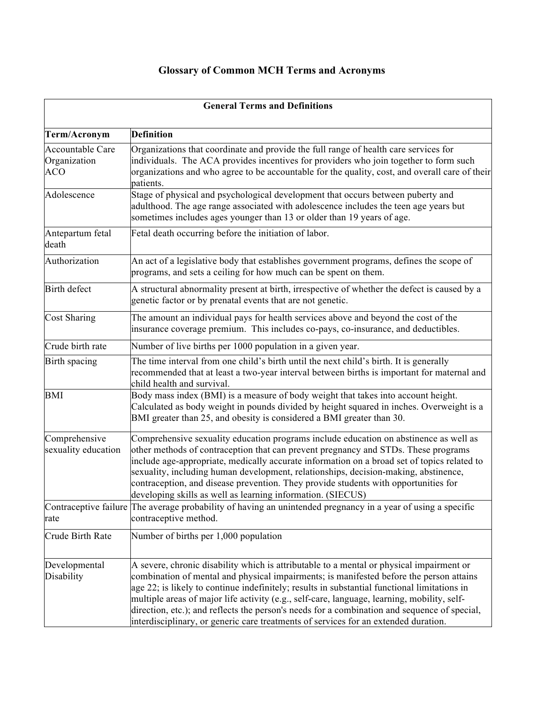## **Glossary of Common MCH Terms and Acronyms**

| <b>General Terms and Definitions</b>           |                                                                                                                                                                                                                                                                                                                                                                                                                                                                                                                                                                           |
|------------------------------------------------|---------------------------------------------------------------------------------------------------------------------------------------------------------------------------------------------------------------------------------------------------------------------------------------------------------------------------------------------------------------------------------------------------------------------------------------------------------------------------------------------------------------------------------------------------------------------------|
| Term/Acronym                                   | <b>Definition</b>                                                                                                                                                                                                                                                                                                                                                                                                                                                                                                                                                         |
| Accountable Care<br>Organization<br><b>ACO</b> | Organizations that coordinate and provide the full range of health care services for<br>individuals. The ACA provides incentives for providers who join together to form such<br>organizations and who agree to be accountable for the quality, cost, and overall care of their<br>patients.                                                                                                                                                                                                                                                                              |
| Adolescence                                    | Stage of physical and psychological development that occurs between puberty and<br>adulthood. The age range associated with adolescence includes the teen age years but<br>sometimes includes ages younger than 13 or older than 19 years of age.                                                                                                                                                                                                                                                                                                                         |
| Antepartum fetal<br>death                      | Fetal death occurring before the initiation of labor.                                                                                                                                                                                                                                                                                                                                                                                                                                                                                                                     |
| Authorization                                  | An act of a legislative body that establishes government programs, defines the scope of<br>programs, and sets a ceiling for how much can be spent on them.                                                                                                                                                                                                                                                                                                                                                                                                                |
| Birth defect                                   | A structural abnormality present at birth, irrespective of whether the defect is caused by a<br>genetic factor or by prenatal events that are not genetic.                                                                                                                                                                                                                                                                                                                                                                                                                |
| Cost Sharing                                   | The amount an individual pays for health services above and beyond the cost of the<br>insurance coverage premium. This includes co-pays, co-insurance, and deductibles.                                                                                                                                                                                                                                                                                                                                                                                                   |
| Crude birth rate                               | Number of live births per 1000 population in a given year.                                                                                                                                                                                                                                                                                                                                                                                                                                                                                                                |
| Birth spacing                                  | The time interval from one child's birth until the next child's birth. It is generally<br>recommended that at least a two-year interval between births is important for maternal and<br>child health and survival.                                                                                                                                                                                                                                                                                                                                                        |
| <b>BMI</b>                                     | Body mass index (BMI) is a measure of body weight that takes into account height.<br>Calculated as body weight in pounds divided by height squared in inches. Overweight is a<br>BMI greater than 25, and obesity is considered a BMI greater than 30.                                                                                                                                                                                                                                                                                                                    |
| Comprehensive<br>sexuality education           | Comprehensive sexuality education programs include education on abstinence as well as<br>other methods of contraception that can prevent pregnancy and STDs. These programs<br>include age-appropriate, medically accurate information on a broad set of topics related to<br>sexuality, including human development, relationships, decision-making, abstinence,<br>contraception, and disease prevention. They provide students with opportunities for<br>developing skills as well as learning information. (SIECUS)                                                   |
| rate                                           | Contraceptive failure The average probability of having an unintended pregnancy in a year of using a specific<br>contraceptive method.                                                                                                                                                                                                                                                                                                                                                                                                                                    |
| Crude Birth Rate                               | Number of births per 1,000 population                                                                                                                                                                                                                                                                                                                                                                                                                                                                                                                                     |
| Developmental<br>Disability                    | A severe, chronic disability which is attributable to a mental or physical impairment or<br>combination of mental and physical impairments; is manifested before the person attains<br>age 22; is likely to continue indefinitely; results in substantial functional limitations in<br>multiple areas of major life activity (e.g., self-care, language, learning, mobility, self-<br>direction, etc.); and reflects the person's needs for a combination and sequence of special,<br>interdisciplinary, or generic care treatments of services for an extended duration. |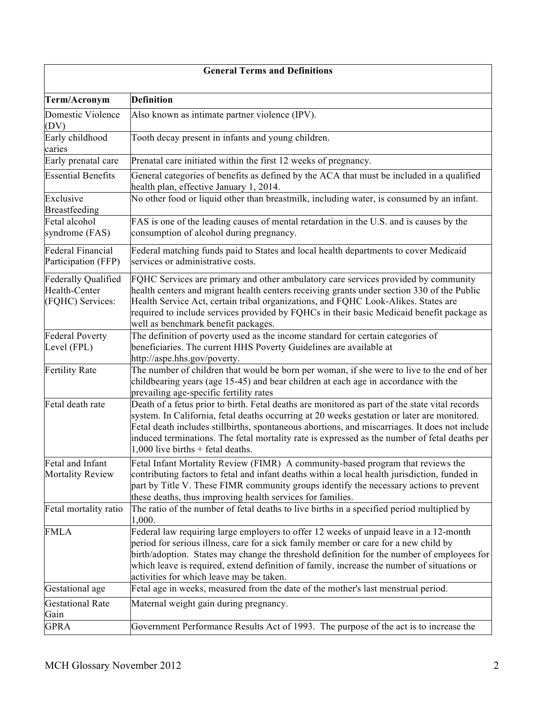| <b>General Terms and Definitions</b>                            |                                                                                                                                                                                                                                                                                                                                                                                                                                         |
|-----------------------------------------------------------------|-----------------------------------------------------------------------------------------------------------------------------------------------------------------------------------------------------------------------------------------------------------------------------------------------------------------------------------------------------------------------------------------------------------------------------------------|
| Term/Acronym                                                    | <b>Definition</b>                                                                                                                                                                                                                                                                                                                                                                                                                       |
| Domestic Violence<br>(DV)                                       | Also known as intimate partner violence (IPV).                                                                                                                                                                                                                                                                                                                                                                                          |
| Early childhood<br>caries                                       | Tooth decay present in infants and young children.                                                                                                                                                                                                                                                                                                                                                                                      |
| Early prenatal care                                             | Prenatal care initiated within the first 12 weeks of pregnancy.                                                                                                                                                                                                                                                                                                                                                                         |
| <b>Essential Benefits</b>                                       | General categories of benefits as defined by the ACA that must be included in a qualified<br>health plan, effective January 1, 2014.                                                                                                                                                                                                                                                                                                    |
| Exclusive<br>Breastfeeding                                      | No other food or liquid other than breastmilk, including water, is consumed by an infant.                                                                                                                                                                                                                                                                                                                                               |
| Fetal alcohol<br>syndrome (FAS)                                 | FAS is one of the leading causes of mental retardation in the U.S. and is causes by the<br>consumption of alcohol during pregnancy.                                                                                                                                                                                                                                                                                                     |
| Federal Financial<br>Participation (FFP)                        | Federal matching funds paid to States and local health departments to cover Medicaid<br>services or administrative costs.                                                                                                                                                                                                                                                                                                               |
| <b>Federally Qualified</b><br>Health-Center<br>(FQHC) Services: | FQHC Services are primary and other ambulatory care services provided by community<br>health centers and migrant health centers receiving grants under section 330 of the Public<br>Health Service Act, certain tribal organizations, and FQHC Look-Alikes. States are<br>required to include services provided by FQHCs in their basic Medicaid benefit package as<br>well as benchmark benefit packages.                              |
| <b>Federal Poverty</b><br>Level (FPL)                           | The definition of poverty used as the income standard for certain categories of<br>beneficiaries. The current HHS Poverty Guidelines are available at<br>http://aspe.hhs.gov/poverty.                                                                                                                                                                                                                                                   |
| <b>Fertility Rate</b>                                           | The number of children that would be born per woman, if she were to live to the end of her<br>childbearing years (age 15-45) and bear children at each age in accordance with the<br>prevailing age-specific fertility rates                                                                                                                                                                                                            |
| Fetal death rate                                                | Death of a fetus prior to birth. Fetal deaths are monitored as part of the state vital records<br>system. In California, fetal deaths occurring at 20 weeks gestation or later are monitored.<br>Fetal death includes stillbirths, spontaneous abortions, and miscarriages. It does not include<br>induced terminations. The fetal mortality rate is expressed as the number of fetal deaths per<br>$1,000$ live births + fetal deaths. |
| Fetal and Infant<br><b>Mortality Review</b>                     | Fetal Infant Mortality Review (FIMR) A community-based program that reviews the<br>contributing factors to fetal and infant deaths within a local health jurisdiction, funded in<br>part by Title V. These FIMR community groups identify the necessary actions to prevent<br>these deaths, thus improving health services for families.                                                                                                |
| Fetal mortality ratio                                           | The ratio of the number of fetal deaths to live births in a specified period multiplied by<br>1,000.                                                                                                                                                                                                                                                                                                                                    |
| <b>FMLA</b>                                                     | Federal law requiring large employers to offer 12 weeks of unpaid leave in a 12-month<br>period for serious illness, care for a sick family member or care for a new child by<br>birth/adoption. States may change the threshold definition for the number of employees for<br>which leave is required, extend definition of family, increase the number of situations or<br>activities for which leave may be taken.                   |
| Gestational age                                                 | Fetal age in weeks, measured from the date of the mother's last menstrual period.                                                                                                                                                                                                                                                                                                                                                       |
| <b>Gestational Rate</b>                                         | Maternal weight gain during pregnancy.                                                                                                                                                                                                                                                                                                                                                                                                  |
| Gain<br><b>GPRA</b>                                             | Government Performance Results Act of 1993. The purpose of the act is to increase the                                                                                                                                                                                                                                                                                                                                                   |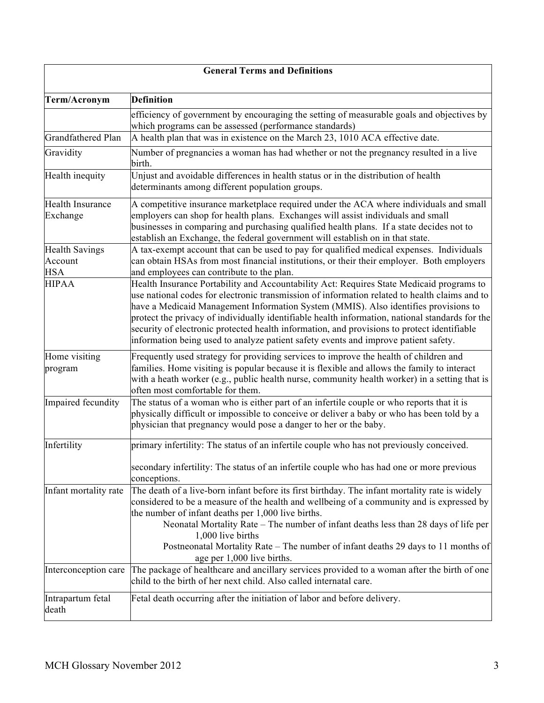| <b>General Terms and Definitions</b>           |                                                                                                                                                                                                                                                                                                                                                                                                                                                                                                                                                                           |
|------------------------------------------------|---------------------------------------------------------------------------------------------------------------------------------------------------------------------------------------------------------------------------------------------------------------------------------------------------------------------------------------------------------------------------------------------------------------------------------------------------------------------------------------------------------------------------------------------------------------------------|
| Term/Acronym                                   | <b>Definition</b>                                                                                                                                                                                                                                                                                                                                                                                                                                                                                                                                                         |
|                                                | efficiency of government by encouraging the setting of measurable goals and objectives by<br>which programs can be assessed (performance standards)                                                                                                                                                                                                                                                                                                                                                                                                                       |
| Grandfathered Plan                             | A health plan that was in existence on the March 23, 1010 ACA effective date.                                                                                                                                                                                                                                                                                                                                                                                                                                                                                             |
| Gravidity                                      | Number of pregnancies a woman has had whether or not the pregnancy resulted in a live<br>birth.                                                                                                                                                                                                                                                                                                                                                                                                                                                                           |
| Health inequity                                | Unjust and avoidable differences in health status or in the distribution of health<br>determinants among different population groups.                                                                                                                                                                                                                                                                                                                                                                                                                                     |
| <b>Health Insurance</b><br>Exchange            | A competitive insurance marketplace required under the ACA where individuals and small<br>employers can shop for health plans. Exchanges will assist individuals and small<br>businesses in comparing and purchasing qualified health plans. If a state decides not to<br>establish an Exchange, the federal government will establish on in that state.                                                                                                                                                                                                                  |
| <b>Health Savings</b><br>Account<br><b>HSA</b> | A tax-exempt account that can be used to pay for qualified medical expenses. Individuals<br>can obtain HSAs from most financial institutions, or their their employer. Both employers<br>and employees can contribute to the plan.                                                                                                                                                                                                                                                                                                                                        |
| <b>HIPAA</b>                                   | Health Insurance Portability and Accountability Act: Requires State Medicaid programs to<br>use national codes for electronic transmission of information related to health claims and to<br>have a Medicaid Management Information System (MMIS). Also identifies provisions to<br>protect the privacy of individually identifiable health information, national standards for the<br>security of electronic protected health information, and provisions to protect identifiable<br>information being used to analyze patient safety events and improve patient safety. |
| Home visiting<br>program                       | Frequently used strategy for providing services to improve the health of children and<br>families. Home visiting is popular because it is flexible and allows the family to interact<br>with a heath worker (e.g., public health nurse, community health worker) in a setting that is<br>often most comfortable for them.                                                                                                                                                                                                                                                 |
| Impaired fecundity                             | The status of a woman who is either part of an infertile couple or who reports that it is<br>physically difficult or impossible to conceive or deliver a baby or who has been told by a<br>physician that pregnancy would pose a danger to her or the baby.                                                                                                                                                                                                                                                                                                               |
| Infertility                                    | primary infertility: The status of an infertile couple who has not previously conceived.<br>secondary infertility: The status of an infertile couple who has had one or more previous<br>conceptions.                                                                                                                                                                                                                                                                                                                                                                     |
| Infant mortality rate                          | The death of a live-born infant before its first birthday. The infant mortality rate is widely<br>considered to be a measure of the health and wellbeing of a community and is expressed by<br>the number of infant deaths per 1,000 live births.<br>Neonatal Mortality Rate - The number of infant deaths less than 28 days of life per<br>1,000 live births<br>Postneonatal Mortality Rate - The number of infant deaths 29 days to 11 months of<br>age per 1,000 live births.                                                                                          |
| Interconception care                           | The package of healthcare and ancillary services provided to a woman after the birth of one<br>child to the birth of her next child. Also called internatal care.                                                                                                                                                                                                                                                                                                                                                                                                         |
| Intrapartum fetal<br>death                     | Fetal death occurring after the initiation of labor and before delivery.                                                                                                                                                                                                                                                                                                                                                                                                                                                                                                  |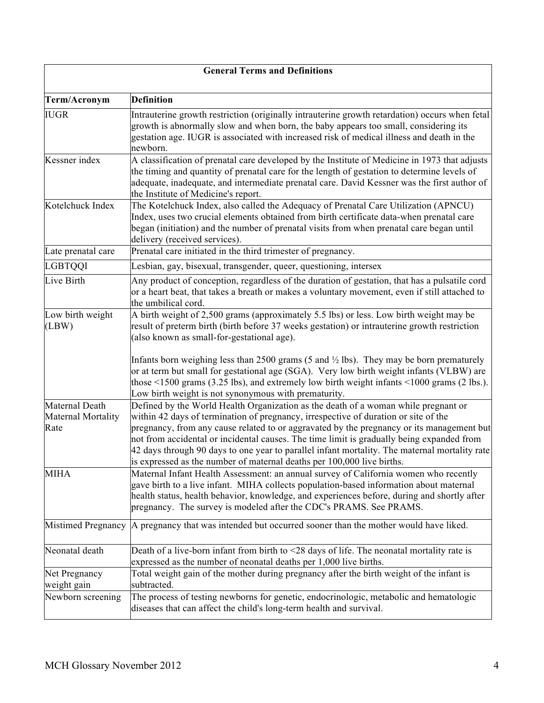|                                              | <b>General Terms and Definitions</b>                                                                                                                                                                                                                                                                                                                                                                                                                                                                                                           |
|----------------------------------------------|------------------------------------------------------------------------------------------------------------------------------------------------------------------------------------------------------------------------------------------------------------------------------------------------------------------------------------------------------------------------------------------------------------------------------------------------------------------------------------------------------------------------------------------------|
| Term/Acronym                                 | <b>Definition</b>                                                                                                                                                                                                                                                                                                                                                                                                                                                                                                                              |
| <b>IUGR</b>                                  | Intrauterine growth restriction (originally intrauterine growth retardation) occurs when fetal<br>growth is abnormally slow and when born, the baby appears too small, considering its<br>gestation age. IUGR is associated with increased risk of medical illness and death in the<br>newborn.                                                                                                                                                                                                                                                |
| Kessner index                                | A classification of prenatal care developed by the Institute of Medicine in 1973 that adjusts<br>the timing and quantity of prenatal care for the length of gestation to determine levels of<br>adequate, inadequate, and intermediate prenatal care. David Kessner was the first author of<br>the Institute of Medicine's report.                                                                                                                                                                                                             |
| Kotelchuck Index                             | The Kotelchuck Index, also called the Adequacy of Prenatal Care Utilization (APNCU)<br>Index, uses two crucial elements obtained from birth certificate data-when prenatal care<br>began (initiation) and the number of prenatal visits from when prenatal care began until<br>delivery (received services).                                                                                                                                                                                                                                   |
| Late prenatal care                           | Prenatal care initiated in the third trimester of pregnancy.                                                                                                                                                                                                                                                                                                                                                                                                                                                                                   |
| <b>LGBTQQI</b>                               | Lesbian, gay, bisexual, transgender, queer, questioning, intersex                                                                                                                                                                                                                                                                                                                                                                                                                                                                              |
| Live Birth                                   | Any product of conception, regardless of the duration of gestation, that has a pulsatile cord<br>or a heart beat, that takes a breath or makes a voluntary movement, even if still attached to<br>the umbilical cord.                                                                                                                                                                                                                                                                                                                          |
| Low birth weight<br>(LBW)                    | A birth weight of 2,500 grams (approximately 5.5 lbs) or less. Low birth weight may be<br>result of preterm birth (birth before 37 weeks gestation) or intrauterine growth restriction<br>(also known as small-for-gestational age).                                                                                                                                                                                                                                                                                                           |
|                                              | Infants born weighing less than 2500 grams (5 and $\frac{1}{2}$ lbs). They may be born prematurely<br>or at term but small for gestational age (SGA). Very low birth weight infants (VLBW) are<br>those $\leq$ 1500 grams (3.25 lbs), and extremely low birth weight infants $\leq$ 1000 grams (2 lbs.).<br>Low birth weight is not synonymous with prematurity.                                                                                                                                                                               |
| Maternal Death<br>Maternal Mortality<br>Rate | Defined by the World Health Organization as the death of a woman while pregnant or<br>within 42 days of termination of pregnancy, irrespective of duration or site of the<br>pregnancy, from any cause related to or aggravated by the pregnancy or its management but<br>not from accidental or incidental causes. The time limit is gradually being expanded from<br>42 days through 90 days to one year to parallel infant mortality. The maternal mortality rate<br>is expressed as the number of maternal deaths per 100,000 live births. |
| <b>MIHA</b>                                  | Maternal Infant Health Assessment: an annual survey of California women who recently<br>gave birth to a live infant. MIHA collects population-based information about maternal<br>health status, health behavior, knowledge, and experiences before, during and shortly after<br>pregnancy. The survey is modeled after the CDC's PRAMS. See PRAMS.                                                                                                                                                                                            |
|                                              | Mistimed Pregnancy   A pregnancy that was intended but occurred sooner than the mother would have liked.                                                                                                                                                                                                                                                                                                                                                                                                                                       |
| Neonatal death                               | Death of a live-born infant from birth to $\leq$ 28 days of life. The neonatal mortality rate is<br>expressed as the number of neonatal deaths per 1,000 live births.                                                                                                                                                                                                                                                                                                                                                                          |
| Net Pregnancy                                | Total weight gain of the mother during pregnancy after the birth weight of the infant is                                                                                                                                                                                                                                                                                                                                                                                                                                                       |
| weight gain<br>Newborn screening             | subtracted.<br>The process of testing newborns for genetic, endocrinologic, metabolic and hematologic<br>diseases that can affect the child's long-term health and survival.                                                                                                                                                                                                                                                                                                                                                                   |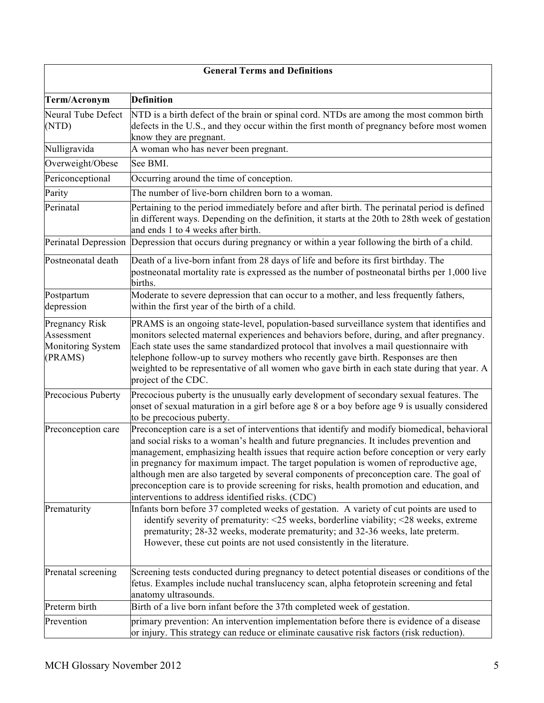| <b>General Terms and Definitions</b>                                |                                                                                                                                                                                                                                                                                                                                                                                                                                                                                                                                                                                                                          |
|---------------------------------------------------------------------|--------------------------------------------------------------------------------------------------------------------------------------------------------------------------------------------------------------------------------------------------------------------------------------------------------------------------------------------------------------------------------------------------------------------------------------------------------------------------------------------------------------------------------------------------------------------------------------------------------------------------|
| Term/Acronym                                                        | <b>Definition</b>                                                                                                                                                                                                                                                                                                                                                                                                                                                                                                                                                                                                        |
| Neural Tube Defect<br>(NTD)                                         | NTD is a birth defect of the brain or spinal cord. NTDs are among the most common birth<br>defects in the U.S., and they occur within the first month of pregnancy before most women<br>know they are pregnant.                                                                                                                                                                                                                                                                                                                                                                                                          |
| Nulligravida                                                        | A woman who has never been pregnant.                                                                                                                                                                                                                                                                                                                                                                                                                                                                                                                                                                                     |
| Overweight/Obese                                                    | See BMI.                                                                                                                                                                                                                                                                                                                                                                                                                                                                                                                                                                                                                 |
| Periconceptional                                                    | Occurring around the time of conception.                                                                                                                                                                                                                                                                                                                                                                                                                                                                                                                                                                                 |
| Parity                                                              | The number of live-born children born to a woman.                                                                                                                                                                                                                                                                                                                                                                                                                                                                                                                                                                        |
| Perinatal                                                           | Pertaining to the period immediately before and after birth. The perinatal period is defined<br>in different ways. Depending on the definition, it starts at the 20th to 28th week of gestation<br>and ends 1 to 4 weeks after birth.                                                                                                                                                                                                                                                                                                                                                                                    |
|                                                                     | Perinatal Depression Depression that occurs during pregnancy or within a year following the birth of a child.                                                                                                                                                                                                                                                                                                                                                                                                                                                                                                            |
| Postneonatal death                                                  | Death of a live-born infant from 28 days of life and before its first birthday. The<br>postneonatal mortality rate is expressed as the number of postneonatal births per 1,000 live<br>births.                                                                                                                                                                                                                                                                                                                                                                                                                           |
| Postpartum<br>depression                                            | Moderate to severe depression that can occur to a mother, and less frequently fathers,<br>within the first year of the birth of a child.                                                                                                                                                                                                                                                                                                                                                                                                                                                                                 |
| <b>Pregnancy Risk</b><br>Assessment<br>Monitoring System<br>(PRAMS) | PRAMS is an ongoing state-level, population-based surveillance system that identifies and<br>monitors selected maternal experiences and behaviors before, during, and after pregnancy.<br>Each state uses the same standardized protocol that involves a mail questionnaire with<br>telephone follow-up to survey mothers who recently gave birth. Responses are then<br>weighted to be representative of all women who gave birth in each state during that year. A<br>project of the CDC.                                                                                                                              |
| Precocious Puberty                                                  | Precocious puberty is the unusually early development of secondary sexual features. The<br>onset of sexual maturation in a girl before age 8 or a boy before age 9 is usually considered<br>to be precocious puberty.                                                                                                                                                                                                                                                                                                                                                                                                    |
| Preconception care                                                  | Preconception care is a set of interventions that identify and modify biomedical, behavioral<br>and social risks to a woman's health and future pregnancies. It includes prevention and<br>management, emphasizing health issues that require action before conception or very early<br>in pregnancy for maximum impact. The target population is women of reproductive age,<br>although men are also targeted by several components of preconception care. The goal of<br>preconception care is to provide screening for risks, health promotion and education, and<br>interventions to address identified risks. (CDC) |
| Prematurity                                                         | Infants born before 37 completed weeks of gestation. A variety of cut points are used to<br>identify severity of prematurity: $\leq$ 25 weeks, borderline viability; $\leq$ 28 weeks, extreme<br>prematurity; 28-32 weeks, moderate prematurity; and 32-36 weeks, late preterm.<br>However, these cut points are not used consistently in the literature.                                                                                                                                                                                                                                                                |
| Prenatal screening                                                  | Screening tests conducted during pregnancy to detect potential diseases or conditions of the<br>fetus. Examples include nuchal translucency scan, alpha fetoprotein screening and fetal<br>anatomy ultrasounds.                                                                                                                                                                                                                                                                                                                                                                                                          |
| Preterm birth                                                       | Birth of a live born infant before the 37th completed week of gestation.                                                                                                                                                                                                                                                                                                                                                                                                                                                                                                                                                 |
| Prevention                                                          | primary prevention: An intervention implementation before there is evidence of a disease<br>or injury. This strategy can reduce or eliminate causative risk factors (risk reduction).                                                                                                                                                                                                                                                                                                                                                                                                                                    |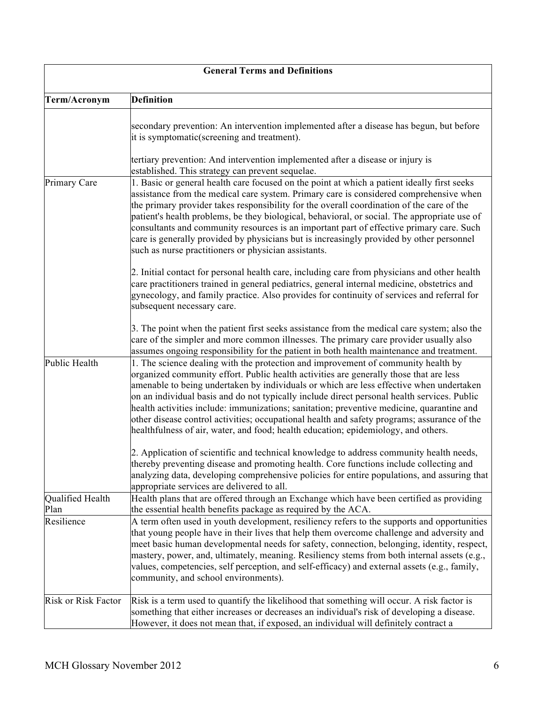| <b>General Terms and Definitions</b> |                                                                                                                                                                                                                                                                                                                                                                                                                                                                                                                                                                                                                                                         |
|--------------------------------------|---------------------------------------------------------------------------------------------------------------------------------------------------------------------------------------------------------------------------------------------------------------------------------------------------------------------------------------------------------------------------------------------------------------------------------------------------------------------------------------------------------------------------------------------------------------------------------------------------------------------------------------------------------|
| Term/Acronym                         | <b>Definition</b>                                                                                                                                                                                                                                                                                                                                                                                                                                                                                                                                                                                                                                       |
|                                      | secondary prevention: An intervention implemented after a disease has begun, but before<br>it is symptomatic(screening and treatment).                                                                                                                                                                                                                                                                                                                                                                                                                                                                                                                  |
|                                      | tertiary prevention: And intervention implemented after a disease or injury is<br>established. This strategy can prevent sequelae.                                                                                                                                                                                                                                                                                                                                                                                                                                                                                                                      |
| Primary Care                         | 1. Basic or general health care focused on the point at which a patient ideally first seeks<br>assistance from the medical care system. Primary care is considered comprehensive when<br>the primary provider takes responsibility for the overall coordination of the care of the<br>patient's health problems, be they biological, behavioral, or social. The appropriate use of<br>consultants and community resources is an important part of effective primary care. Such<br>care is generally provided by physicians but is increasingly provided by other personnel<br>such as nurse practitioners or physician assistants.                      |
|                                      | 2. Initial contact for personal health care, including care from physicians and other health<br>care practitioners trained in general pediatrics, general internal medicine, obstetrics and<br>gynecology, and family practice. Also provides for continuity of services and referral for<br>subsequent necessary care.                                                                                                                                                                                                                                                                                                                                 |
|                                      | 3. The point when the patient first seeks assistance from the medical care system; also the<br>care of the simpler and more common illnesses. The primary care provider usually also<br>assumes ongoing responsibility for the patient in both health maintenance and treatment.                                                                                                                                                                                                                                                                                                                                                                        |
| Public Health                        | 1. The science dealing with the protection and improvement of community health by<br>organized community effort. Public health activities are generally those that are less<br>amenable to being undertaken by individuals or which are less effective when undertaken<br>on an individual basis and do not typically include direct personal health services. Public<br>health activities include: immunizations; sanitation; preventive medicine, quarantine and<br>other disease control activities; occupational health and safety programs; assurance of the<br>healthfulness of air, water, and food; health education; epidemiology, and others. |
|                                      | 2. Application of scientific and technical knowledge to address community health needs,<br>thereby preventing disease and promoting health. Core functions include collecting and<br>analyzing data, developing comprehensive policies for entire populations, and assuring that<br>appropriate services are delivered to all.                                                                                                                                                                                                                                                                                                                          |
| Qualified Health<br>Plan             | Health plans that are offered through an Exchange which have been certified as providing<br>the essential health benefits package as required by the ACA.                                                                                                                                                                                                                                                                                                                                                                                                                                                                                               |
| Resilience                           | A term often used in youth development, resiliency refers to the supports and opportunities<br>that young people have in their lives that help them overcome challenge and adversity and<br>meet basic human developmental needs for safety, connection, belonging, identity, respect,<br>mastery, power, and, ultimately, meaning. Resiliency stems from both internal assets (e.g.,<br>values, competencies, self perception, and self-efficacy) and external assets (e.g., family,<br>community, and school environments).                                                                                                                           |
| Risk or Risk Factor                  | Risk is a term used to quantify the likelihood that something will occur. A risk factor is<br>something that either increases or decreases an individual's risk of developing a disease.<br>However, it does not mean that, if exposed, an individual will definitely contract a                                                                                                                                                                                                                                                                                                                                                                        |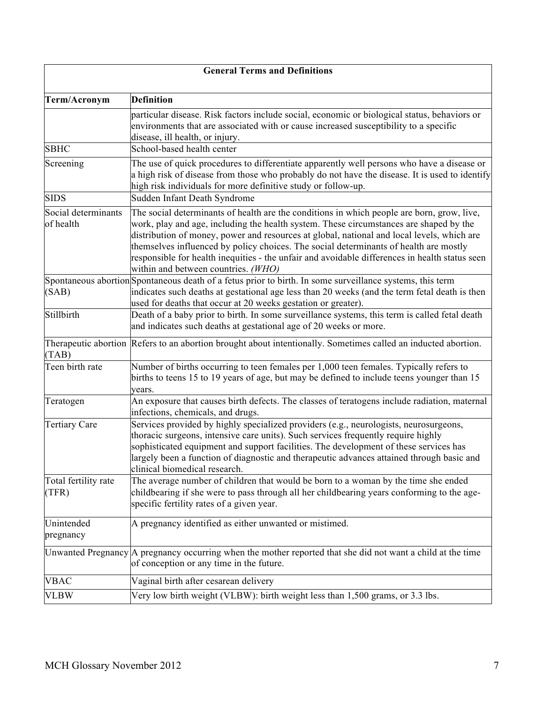| <b>General Terms and Definitions</b> |                                                                                                                                                                                                                                                                                                                                                                                                                                                                                                                      |
|--------------------------------------|----------------------------------------------------------------------------------------------------------------------------------------------------------------------------------------------------------------------------------------------------------------------------------------------------------------------------------------------------------------------------------------------------------------------------------------------------------------------------------------------------------------------|
| Term/Acronym                         | <b>Definition</b>                                                                                                                                                                                                                                                                                                                                                                                                                                                                                                    |
|                                      | particular disease. Risk factors include social, economic or biological status, behaviors or<br>environments that are associated with or cause increased susceptibility to a specific<br>disease, ill health, or injury.                                                                                                                                                                                                                                                                                             |
| <b>SBHC</b>                          | School-based health center                                                                                                                                                                                                                                                                                                                                                                                                                                                                                           |
| Screening                            | The use of quick procedures to differentiate apparently well persons who have a disease or<br>a high risk of disease from those who probably do not have the disease. It is used to identify<br>high risk individuals for more definitive study or follow-up.                                                                                                                                                                                                                                                        |
| <b>SIDS</b>                          | Sudden Infant Death Syndrome                                                                                                                                                                                                                                                                                                                                                                                                                                                                                         |
| Social determinants<br>of health     | The social determinants of health are the conditions in which people are born, grow, live,<br>work, play and age, including the health system. These circumstances are shaped by the<br>distribution of money, power and resources at global, national and local levels, which are<br>themselves influenced by policy choices. The social determinants of health are mostly<br>responsible for health inequities - the unfair and avoidable differences in health status seen<br>within and between countries. (WHO) |
| (SAB)                                | Spontaneous abortion Spontaneous death of a fetus prior to birth. In some surveillance systems, this term<br>indicates such deaths at gestational age less than 20 weeks (and the term fetal death is then<br>used for deaths that occur at 20 weeks gestation or greater).                                                                                                                                                                                                                                          |
| Stillbirth                           | Death of a baby prior to birth. In some surveillance systems, this term is called fetal death<br>and indicates such deaths at gestational age of 20 weeks or more.                                                                                                                                                                                                                                                                                                                                                   |
| (TAB)                                | Therapeutic abortion Refers to an abortion brought about intentionally. Sometimes called an inducted abortion.                                                                                                                                                                                                                                                                                                                                                                                                       |
| Teen birth rate                      | Number of births occurring to teen females per 1,000 teen females. Typically refers to<br>births to teens 15 to 19 years of age, but may be defined to include teens younger than 15<br>vears.                                                                                                                                                                                                                                                                                                                       |
| Teratogen                            | An exposure that causes birth defects. The classes of teratogens include radiation, maternal<br>infections, chemicals, and drugs.                                                                                                                                                                                                                                                                                                                                                                                    |
| <b>Tertiary Care</b>                 | Services provided by highly specialized providers (e.g., neurologists, neurosurgeons,<br>thoracic surgeons, intensive care units). Such services frequently require highly<br>sophisticated equipment and support facilities. The development of these services has<br>largely been a function of diagnostic and therapeutic advances attained through basic and<br>clinical biomedical research.                                                                                                                    |
| Total fertility rate<br>(TFR)        | The average number of children that would be born to a woman by the time she ended<br>childbearing if she were to pass through all her childbearing years conforming to the age-<br>specific fertility rates of a given year.                                                                                                                                                                                                                                                                                        |
| Unintended<br>pregnancy              | A pregnancy identified as either unwanted or mistimed.                                                                                                                                                                                                                                                                                                                                                                                                                                                               |
|                                      | Unwanted Pregnancy A pregnancy occurring when the mother reported that she did not want a child at the time<br>of conception or any time in the future.                                                                                                                                                                                                                                                                                                                                                              |
| VBAC                                 | Vaginal birth after cesarean delivery                                                                                                                                                                                                                                                                                                                                                                                                                                                                                |
| <b>VLBW</b>                          | Very low birth weight (VLBW): birth weight less than 1,500 grams, or 3.3 lbs.                                                                                                                                                                                                                                                                                                                                                                                                                                        |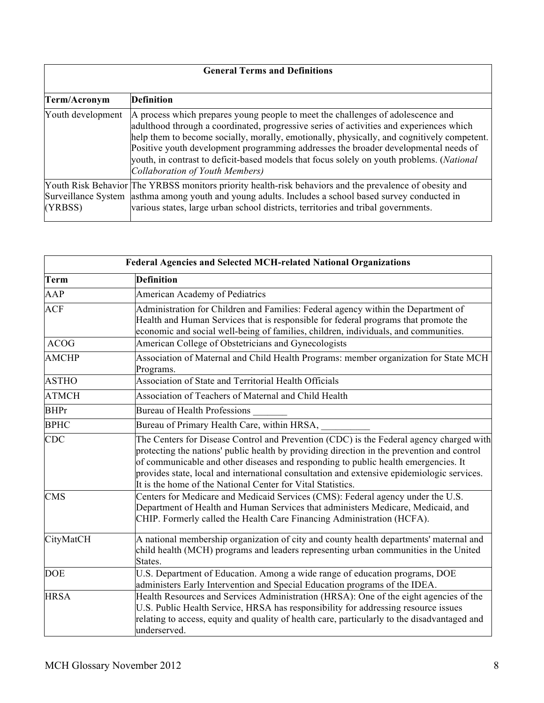| <b>General Terms and Definitions</b> |                                                                                                                                                                                                                                                                                                                                                                                                                                                                                                         |  |
|--------------------------------------|---------------------------------------------------------------------------------------------------------------------------------------------------------------------------------------------------------------------------------------------------------------------------------------------------------------------------------------------------------------------------------------------------------------------------------------------------------------------------------------------------------|--|
|                                      |                                                                                                                                                                                                                                                                                                                                                                                                                                                                                                         |  |
| Term/Acronym                         | <b>Definition</b>                                                                                                                                                                                                                                                                                                                                                                                                                                                                                       |  |
| Youth development                    | A process which prepares young people to meet the challenges of adolescence and<br>adulthood through a coordinated, progressive series of activities and experiences which<br>help them to become socially, morally, emotionally, physically, and cognitively competent.<br>Positive youth development programming addresses the broader developmental needs of<br>youth, in contrast to deficit-based models that focus solely on youth problems. ( <i>National</i><br>Collaboration of Youth Members) |  |
| (YRBSS)                              | Youth Risk Behavior The YRBSS monitors priority health-risk behaviors and the prevalence of obesity and<br>Surveillance System asthma among youth and young adults. Includes a school based survey conducted in<br>various states, large urban school districts, territories and tribal governments.                                                                                                                                                                                                    |  |

| <b>Federal Agencies and Selected MCH-related National Organizations</b> |                                                                                                                                                                                                                                                                                                                                                                                                                                          |
|-------------------------------------------------------------------------|------------------------------------------------------------------------------------------------------------------------------------------------------------------------------------------------------------------------------------------------------------------------------------------------------------------------------------------------------------------------------------------------------------------------------------------|
| <b>Term</b>                                                             | <b>Definition</b>                                                                                                                                                                                                                                                                                                                                                                                                                        |
| AAP                                                                     | American Academy of Pediatrics                                                                                                                                                                                                                                                                                                                                                                                                           |
| <b>ACF</b>                                                              | Administration for Children and Families: Federal agency within the Department of<br>Health and Human Services that is responsible for federal programs that promote the<br>economic and social well-being of families, children, individuals, and communities.                                                                                                                                                                          |
| <b>ACOG</b>                                                             | American College of Obstetricians and Gynecologists                                                                                                                                                                                                                                                                                                                                                                                      |
| <b>AMCHP</b>                                                            | Association of Maternal and Child Health Programs: member organization for State MCH<br>Programs.                                                                                                                                                                                                                                                                                                                                        |
| <b>ASTHO</b>                                                            | Association of State and Territorial Health Officials                                                                                                                                                                                                                                                                                                                                                                                    |
| <b>ATMCH</b>                                                            | Association of Teachers of Maternal and Child Health                                                                                                                                                                                                                                                                                                                                                                                     |
| <b>BHPr</b>                                                             | Bureau of Health Professions                                                                                                                                                                                                                                                                                                                                                                                                             |
| <b>BPHC</b>                                                             | Bureau of Primary Health Care, within HRSA,                                                                                                                                                                                                                                                                                                                                                                                              |
| CDC                                                                     | The Centers for Disease Control and Prevention (CDC) is the Federal agency charged with<br>protecting the nations' public health by providing direction in the prevention and control<br>of communicable and other diseases and responding to public health emergencies. It<br>provides state, local and international consultation and extensive epidemiologic services.<br>It is the home of the National Center for Vital Statistics. |
| <b>CMS</b>                                                              | Centers for Medicare and Medicaid Services (CMS): Federal agency under the U.S.<br>Department of Health and Human Services that administers Medicare, Medicaid, and<br>CHIP. Formerly called the Health Care Financing Administration (HCFA).                                                                                                                                                                                            |
| CityMatCH                                                               | A national membership organization of city and county health departments' maternal and<br>child health (MCH) programs and leaders representing urban communities in the United<br>States.                                                                                                                                                                                                                                                |
| <b>DOE</b>                                                              | U.S. Department of Education. Among a wide range of education programs, DOE<br>administers Early Intervention and Special Education programs of the IDEA.                                                                                                                                                                                                                                                                                |
| <b>HRSA</b>                                                             | Health Resources and Services Administration (HRSA): One of the eight agencies of the<br>U.S. Public Health Service, HRSA has responsibility for addressing resource issues<br>relating to access, equity and quality of health care, particularly to the disadvantaged and<br>underserved.                                                                                                                                              |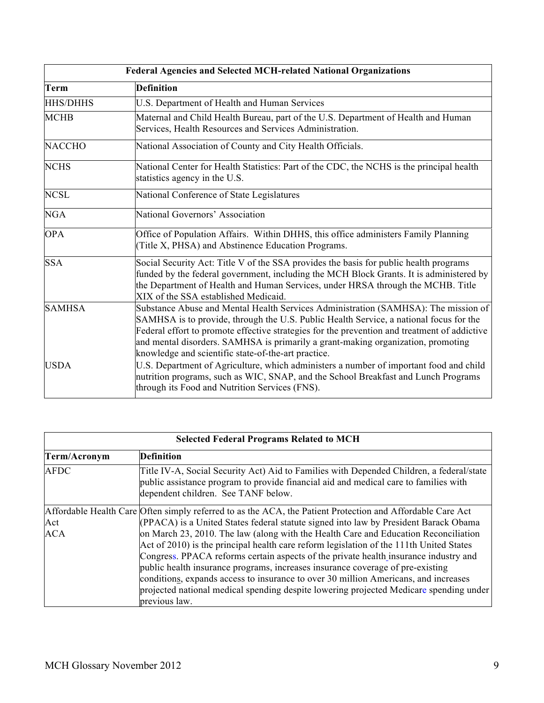| Federal Agencies and Selected MCH-related National Organizations |                                                                                                                                                                                                                                                                                                                                                                                                                                                                                                                   |
|------------------------------------------------------------------|-------------------------------------------------------------------------------------------------------------------------------------------------------------------------------------------------------------------------------------------------------------------------------------------------------------------------------------------------------------------------------------------------------------------------------------------------------------------------------------------------------------------|
| Term                                                             | <b>Definition</b>                                                                                                                                                                                                                                                                                                                                                                                                                                                                                                 |
| <b>HHS/DHHS</b>                                                  | U.S. Department of Health and Human Services                                                                                                                                                                                                                                                                                                                                                                                                                                                                      |
| <b>MCHB</b>                                                      | Maternal and Child Health Bureau, part of the U.S. Department of Health and Human<br>Services, Health Resources and Services Administration.                                                                                                                                                                                                                                                                                                                                                                      |
| <b>NACCHO</b>                                                    | National Association of County and City Health Officials.                                                                                                                                                                                                                                                                                                                                                                                                                                                         |
| <b>NCHS</b>                                                      | National Center for Health Statistics: Part of the CDC, the NCHS is the principal health<br>statistics agency in the U.S.                                                                                                                                                                                                                                                                                                                                                                                         |
| <b>NCSL</b>                                                      | National Conference of State Legislatures                                                                                                                                                                                                                                                                                                                                                                                                                                                                         |
| <b>NGA</b>                                                       | National Governors' Association                                                                                                                                                                                                                                                                                                                                                                                                                                                                                   |
| <b>OPA</b>                                                       | Office of Population Affairs. Within DHHS, this office administers Family Planning<br>(Title X, PHSA) and Abstinence Education Programs.                                                                                                                                                                                                                                                                                                                                                                          |
| <b>SSA</b>                                                       | Social Security Act: Title V of the SSA provides the basis for public health programs<br>funded by the federal government, including the MCH Block Grants. It is administered by<br>the Department of Health and Human Services, under HRSA through the MCHB. Title<br>XIX of the SSA established Medicaid.                                                                                                                                                                                                       |
| <b>SAMHSA</b><br><b>USDA</b>                                     | Substance Abuse and Mental Health Services Administration (SAMHSA): The mission of<br>SAMHSA is to provide, through the U.S. Public Health Service, a national focus for the<br>Federal effort to promote effective strategies for the prevention and treatment of addictive<br>and mental disorders. SAMHSA is primarily a grant-making organization, promoting<br>knowledge and scientific state-of-the-art practice.<br>U.S. Department of Agriculture, which administers a number of important food and child |
|                                                                  | nutrition programs, such as WIC, SNAP, and the School Breakfast and Lunch Programs<br>through its Food and Nutrition Services (FNS).                                                                                                                                                                                                                                                                                                                                                                              |

| <b>Selected Federal Programs Related to MCH</b> |                                                                                                                                                                                                                         |
|-------------------------------------------------|-------------------------------------------------------------------------------------------------------------------------------------------------------------------------------------------------------------------------|
| Term/Acronym                                    | <b>Definition</b>                                                                                                                                                                                                       |
| <b>AFDC</b>                                     | Title IV-A, Social Security Act) Aid to Families with Depended Children, a federal/state<br>public assistance program to provide financial aid and medical care to families with<br>dependent children. See TANF below. |
|                                                 | Affordable Health Care Often simply referred to as the ACA, the Patient Protection and Affordable Care Act                                                                                                              |
| Act                                             | (PPACA) is a United States federal statute signed into law by President Barack Obama                                                                                                                                    |
| ACA                                             | on March 23, 2010. The law (along with the Health Care and Education Reconciliation                                                                                                                                     |
|                                                 | Act of 2010) is the principal health care reform legislation of the 111th United States                                                                                                                                 |
|                                                 | Congress. PPACA reforms certain aspects of the private health insurance industry and                                                                                                                                    |
|                                                 | public health insurance programs, increases insurance coverage of pre-existing                                                                                                                                          |
|                                                 | conditions, expands access to insurance to over 30 million Americans, and increases                                                                                                                                     |
|                                                 | projected national medical spending despite lowering projected Medicare spending under                                                                                                                                  |
|                                                 | previous law.                                                                                                                                                                                                           |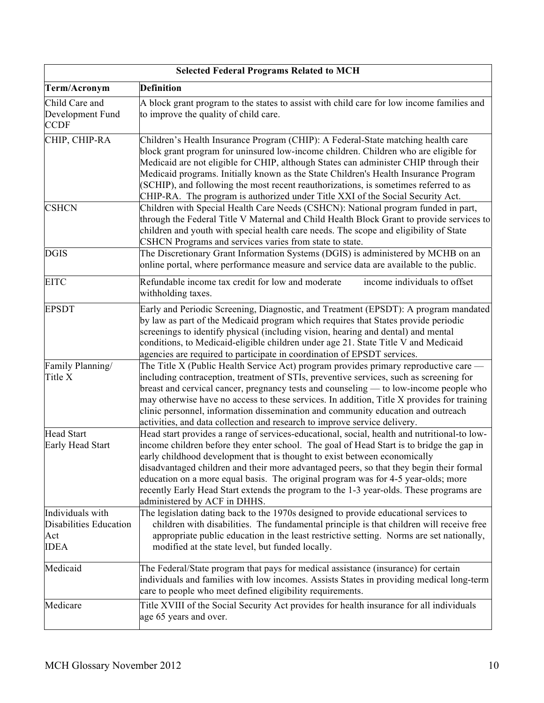| <b>Selected Federal Programs Related to MCH</b>                         |                                                                                                                                                                                                                                                                                                                                                                                                                                                                                                                                                                                |  |
|-------------------------------------------------------------------------|--------------------------------------------------------------------------------------------------------------------------------------------------------------------------------------------------------------------------------------------------------------------------------------------------------------------------------------------------------------------------------------------------------------------------------------------------------------------------------------------------------------------------------------------------------------------------------|--|
| Term/Acronym                                                            | <b>Definition</b>                                                                                                                                                                                                                                                                                                                                                                                                                                                                                                                                                              |  |
| Child Care and<br>Development Fund<br><b>CCDF</b>                       | A block grant program to the states to assist with child care for low income families and<br>to improve the quality of child care.                                                                                                                                                                                                                                                                                                                                                                                                                                             |  |
| CHIP, CHIP-RA                                                           | Children's Health Insurance Program (CHIP): A Federal-State matching health care<br>block grant program for uninsured low-income children. Children who are eligible for<br>Medicaid are not eligible for CHIP, although States can administer CHIP through their<br>Medicaid programs. Initially known as the State Children's Health Insurance Program<br>(SCHIP), and following the most recent reauthorizations, is sometimes referred to as<br>CHIP-RA. The program is authorized under Title XXI of the Social Security Act.                                             |  |
| <b>CSHCN</b>                                                            | Children with Special Health Care Needs (CSHCN): National program funded in part,<br>through the Federal Title V Maternal and Child Health Block Grant to provide services to<br>children and youth with special health care needs. The scope and eligibility of State<br>CSHCN Programs and services varies from state to state.                                                                                                                                                                                                                                              |  |
| <b>DGIS</b>                                                             | The Discretionary Grant Information Systems (DGIS) is administered by MCHB on an<br>online portal, where performance measure and service data are available to the public.                                                                                                                                                                                                                                                                                                                                                                                                     |  |
| <b>EITC</b>                                                             | income individuals to offset<br>Refundable income tax credit for low and moderate<br>withholding taxes.                                                                                                                                                                                                                                                                                                                                                                                                                                                                        |  |
| <b>EPSDT</b>                                                            | Early and Periodic Screening, Diagnostic, and Treatment (EPSDT): A program mandated<br>by law as part of the Medicaid program which requires that States provide periodic<br>screenings to identify physical (including vision, hearing and dental) and mental<br>conditions, to Medicaid-eligible children under age 21. State Title V and Medicaid<br>agencies are required to participate in coordination of EPSDT services.                                                                                                                                                |  |
| Family Planning/<br>Title X                                             | The Title X (Public Health Service Act) program provides primary reproductive care —<br>including contraception, treatment of STIs, preventive services, such as screening for<br>breast and cervical cancer, pregnancy tests and counseling — to low-income people who<br>may otherwise have no access to these services. In addition, Title X provides for training<br>clinic personnel, information dissemination and community education and outreach<br>activities, and data collection and research to improve service delivery.                                         |  |
| <b>Head Start</b><br>Early Head Start                                   | Head start provides a range of services-educational, social, health and nutritional-to low-<br>income children before they enter school. The goal of Head Start is to bridge the gap in<br>early childhood development that is thought to exist between economically<br>disadvantaged children and their more advantaged peers, so that they begin their formal<br>education on a more equal basis. The original program was for 4-5 year-olds; more<br>recently Early Head Start extends the program to the 1-3 year-olds. These programs are<br>administered by ACF in DHHS. |  |
| Individuals with<br><b>Disabilities Education</b><br>Act<br><b>IDEA</b> | The legislation dating back to the 1970s designed to provide educational services to<br>children with disabilities. The fundamental principle is that children will receive free<br>appropriate public education in the least restrictive setting. Norms are set nationally,<br>modified at the state level, but funded locally.                                                                                                                                                                                                                                               |  |
| Medicaid                                                                | The Federal/State program that pays for medical assistance (insurance) for certain<br>individuals and families with low incomes. Assists States in providing medical long-term<br>care to people who meet defined eligibility requirements.                                                                                                                                                                                                                                                                                                                                    |  |
| Medicare                                                                | Title XVIII of the Social Security Act provides for health insurance for all individuals<br>age 65 years and over.                                                                                                                                                                                                                                                                                                                                                                                                                                                             |  |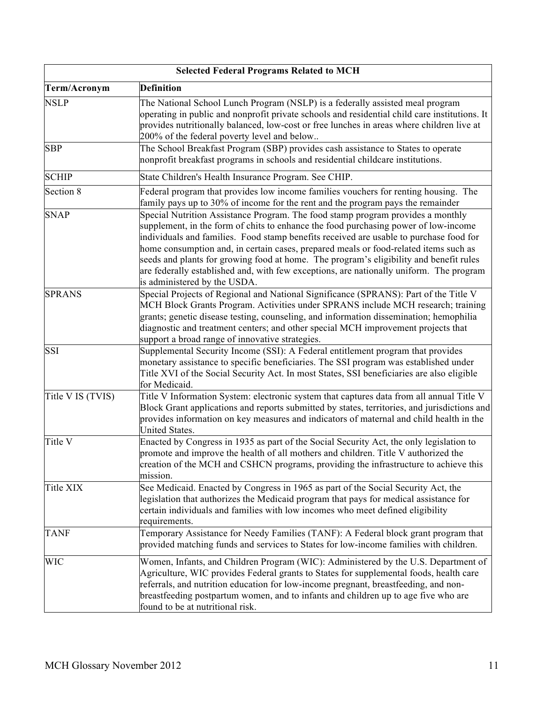| <b>Selected Federal Programs Related to MCH</b> |                                                                                                                                                                                                                                                                                                                                                                                                                                                                                                                                                                               |  |
|-------------------------------------------------|-------------------------------------------------------------------------------------------------------------------------------------------------------------------------------------------------------------------------------------------------------------------------------------------------------------------------------------------------------------------------------------------------------------------------------------------------------------------------------------------------------------------------------------------------------------------------------|--|
| Term/Acronym                                    | <b>Definition</b>                                                                                                                                                                                                                                                                                                                                                                                                                                                                                                                                                             |  |
| <b>NSLP</b>                                     | The National School Lunch Program (NSLP) is a federally assisted meal program<br>operating in public and nonprofit private schools and residential child care institutions. It<br>provides nutritionally balanced, low-cost or free lunches in areas where children live at<br>200% of the federal poverty level and below                                                                                                                                                                                                                                                    |  |
| <b>SBP</b>                                      | The School Breakfast Program (SBP) provides cash assistance to States to operate<br>nonprofit breakfast programs in schools and residential childcare institutions.                                                                                                                                                                                                                                                                                                                                                                                                           |  |
| <b>SCHIP</b>                                    | State Children's Health Insurance Program. See CHIP.                                                                                                                                                                                                                                                                                                                                                                                                                                                                                                                          |  |
| Section 8                                       | Federal program that provides low income families vouchers for renting housing. The<br>family pays up to 30% of income for the rent and the program pays the remainder                                                                                                                                                                                                                                                                                                                                                                                                        |  |
| <b>SNAP</b>                                     | Special Nutrition Assistance Program. The food stamp program provides a monthly<br>supplement, in the form of chits to enhance the food purchasing power of low-income<br>individuals and families. Food stamp benefits received are usable to purchase food for<br>home consumption and, in certain cases, prepared meals or food-related items such as<br>seeds and plants for growing food at home. The program's eligibility and benefit rules<br>are federally established and, with few exceptions, are nationally uniform. The program<br>is administered by the USDA. |  |
| <b>SPRANS</b>                                   | Special Projects of Regional and National Significance (SPRANS): Part of the Title V<br>MCH Block Grants Program. Activities under SPRANS include MCH research; training<br>grants; genetic disease testing, counseling, and information dissemination; hemophilia<br>diagnostic and treatment centers; and other special MCH improvement projects that<br>support a broad range of innovative strategies.                                                                                                                                                                    |  |
| <b>SSI</b>                                      | Supplemental Security Income (SSI): A Federal entitlement program that provides<br>monetary assistance to specific beneficiaries. The SSI program was established under<br>Title XVI of the Social Security Act. In most States, SSI beneficiaries are also eligible<br>for Medicaid.                                                                                                                                                                                                                                                                                         |  |
| Title V IS (TVIS)                               | Title V Information System: electronic system that captures data from all annual Title V<br>Block Grant applications and reports submitted by states, territories, and jurisdictions and<br>provides information on key measures and indicators of maternal and child health in the<br>United States.                                                                                                                                                                                                                                                                         |  |
| Title V                                         | Enacted by Congress in 1935 as part of the Social Security Act, the only legislation to<br>promote and improve the health of all mothers and children. Title V authorized the<br>creation of the MCH and CSHCN programs, providing the infrastructure to achieve this<br>mission.                                                                                                                                                                                                                                                                                             |  |
| Title XIX                                       | See Medicaid. Enacted by Congress in 1965 as part of the Social Security Act, the<br>legislation that authorizes the Medicaid program that pays for medical assistance for<br>certain individuals and families with low incomes who meet defined eligibility<br>requirements.                                                                                                                                                                                                                                                                                                 |  |
| <b>TANF</b>                                     | Temporary Assistance for Needy Families (TANF): A Federal block grant program that<br>provided matching funds and services to States for low-income families with children.                                                                                                                                                                                                                                                                                                                                                                                                   |  |
| <b>WIC</b>                                      | Women, Infants, and Children Program (WIC): Administered by the U.S. Department of<br>Agriculture, WIC provides Federal grants to States for supplemental foods, health care<br>referrals, and nutrition education for low-income pregnant, breastfeeding, and non-<br>breastfeeding postpartum women, and to infants and children up to age five who are<br>found to be at nutritional risk.                                                                                                                                                                                 |  |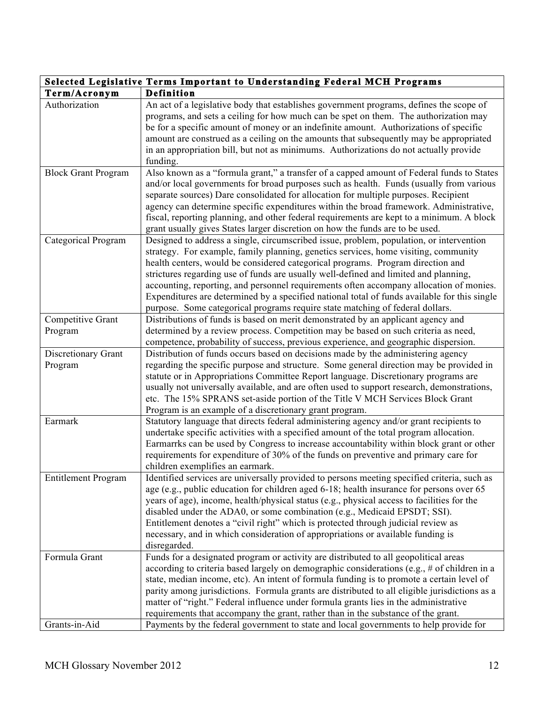| Selected Legislative Terms Important to Understanding Federal MCH Programs |                                                                                                                                                                                                                                                                                                                                                                                                                                                                                                                                                                                                                                       |  |
|----------------------------------------------------------------------------|---------------------------------------------------------------------------------------------------------------------------------------------------------------------------------------------------------------------------------------------------------------------------------------------------------------------------------------------------------------------------------------------------------------------------------------------------------------------------------------------------------------------------------------------------------------------------------------------------------------------------------------|--|
| Term/Acronym                                                               | Definition                                                                                                                                                                                                                                                                                                                                                                                                                                                                                                                                                                                                                            |  |
| Authorization                                                              | An act of a legislative body that establishes government programs, defines the scope of<br>programs, and sets a ceiling for how much can be spet on them. The authorization may<br>be for a specific amount of money or an indefinite amount. Authorizations of specific<br>amount are construed as a ceiling on the amounts that subsequently may be appropriated<br>in an appropriation bill, but not as minimums. Authorizations do not actually provide<br>funding.                                                                                                                                                               |  |
| <b>Block Grant Program</b>                                                 | Also known as a "formula grant," a transfer of a capped amount of Federal funds to States<br>and/or local governments for broad purposes such as health. Funds (usually from various<br>separate sources) Dare consolidated for allocation for multiple purposes. Recipient<br>agency can determine specific expenditures within the broad framework. Administrative,<br>fiscal, reporting planning, and other federal requirements are kept to a minimum. A block<br>grant usually gives States larger discretion on how the funds are to be used.                                                                                   |  |
| Categorical Program                                                        | Designed to address a single, circumscribed issue, problem, population, or intervention<br>strategy. For example, family planning, genetics services, home visiting, community<br>health centers, would be considered categorical programs. Program direction and<br>strictures regarding use of funds are usually well-defined and limited and planning,<br>accounting, reporting, and personnel requirements often accompany allocation of monies.<br>Expenditures are determined by a specified national total of funds available for this single<br>purpose. Some categorical programs require state matching of federal dollars. |  |
| Competitive Grant<br>Program                                               | Distributions of funds is based on merit demonstrated by an applicant agency and<br>determined by a review process. Competition may be based on such criteria as need,<br>competence, probability of success, previous experience, and geographic dispersion.                                                                                                                                                                                                                                                                                                                                                                         |  |
| Discretionary Grant<br>Program                                             | Distribution of funds occurs based on decisions made by the administering agency<br>regarding the specific purpose and structure. Some general direction may be provided in<br>statute or in Appropriations Committee Report language. Discretionary programs are<br>usually not universally available, and are often used to support research, demonstrations,<br>etc. The 15% SPRANS set-aside portion of the Title V MCH Services Block Grant<br>Program is an example of a discretionary grant program.                                                                                                                           |  |
| Earmark                                                                    | Statutory language that directs federal administering agency and/or grant recipients to<br>undertake specific activities with a specified amount of the total program allocation.<br>Earmarrks can be used by Congress to increase accountability within block grant or other<br>requirements for expenditure of 30% of the funds on preventive and primary care for<br>children exemplifies an earmark.                                                                                                                                                                                                                              |  |
| <b>Entitlement Program</b>                                                 | Identified services are universally provided to persons meeting specified criteria, such as<br>age (e.g., public education for children aged 6-18; health insurance for persons over 65<br>years of age), income, health/physical status (e.g., physical access to facilities for the<br>disabled under the ADA0, or some combination (e.g., Medicaid EPSDT; SSI).<br>Entitlement denotes a "civil right" which is protected through judicial review as<br>necessary, and in which consideration of appropriations or available funding is<br>disregarded.                                                                            |  |
| Formula Grant                                                              | Funds for a designated program or activity are distributed to all geopolitical areas<br>according to criteria based largely on demographic considerations (e.g., # of children in a<br>state, median income, etc). An intent of formula funding is to promote a certain level of<br>parity among jurisdictions. Formula grants are distributed to all eligible jurisdictions as a<br>matter of "right." Federal influence under formula grants lies in the administrative<br>requirements that accompany the grant, rather than in the substance of the grant.                                                                        |  |
| Grants-in-Aid                                                              | Payments by the federal government to state and local governments to help provide for                                                                                                                                                                                                                                                                                                                                                                                                                                                                                                                                                 |  |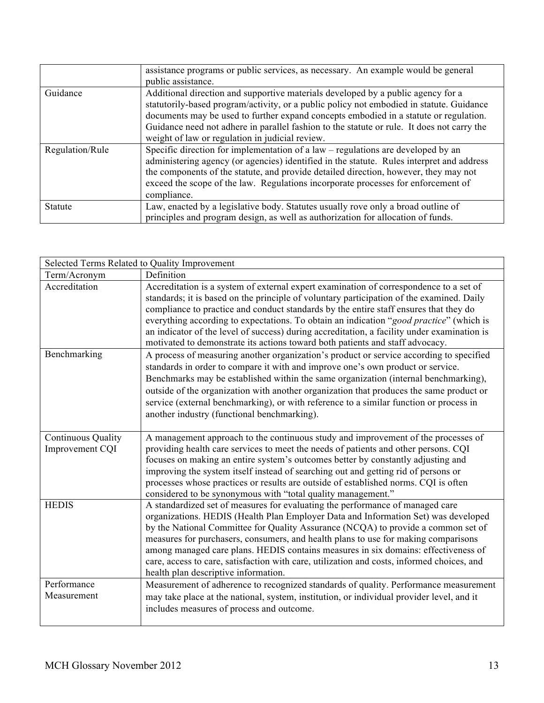|                 | assistance programs or public services, as necessary. An example would be general          |
|-----------------|--------------------------------------------------------------------------------------------|
|                 | public assistance.                                                                         |
| Guidance        | Additional direction and supportive materials developed by a public agency for a           |
|                 | statutorily-based program/activity, or a public policy not embodied in statute. Guidance   |
|                 | documents may be used to further expand concepts embodied in a statute or regulation.      |
|                 | Guidance need not adhere in parallel fashion to the statute or rule. It does not carry the |
|                 | weight of law or regulation in judicial review.                                            |
| Regulation/Rule | Specific direction for implementation of a law – regulations are developed by an           |
|                 | administering agency (or agencies) identified in the statute. Rules interpret and address  |
|                 | the components of the statute, and provide detailed direction, however, they may not       |
|                 | exceed the scope of the law. Regulations incorporate processes for enforcement of          |
|                 | compliance.                                                                                |
| Statute         | Law, enacted by a legislative body. Statutes usually rove only a broad outline of          |
|                 | principles and program design, as well as authorization for allocation of funds.           |

|                                       | Selected Terms Related to Quality Improvement                                                                                                                                                                                                                                                                                                                                                                                                                                                                                                                              |
|---------------------------------------|----------------------------------------------------------------------------------------------------------------------------------------------------------------------------------------------------------------------------------------------------------------------------------------------------------------------------------------------------------------------------------------------------------------------------------------------------------------------------------------------------------------------------------------------------------------------------|
| Term/Acronym                          | Definition                                                                                                                                                                                                                                                                                                                                                                                                                                                                                                                                                                 |
| Accreditation                         | Accreditation is a system of external expert examination of correspondence to a set of<br>standards; it is based on the principle of voluntary participation of the examined. Daily<br>compliance to practice and conduct standards by the entire staff ensures that they do<br>everything according to expectations. To obtain an indication "good practice" (which is<br>an indicator of the level of success) during accreditation, a facility under examination is<br>motivated to demonstrate its actions toward both patients and staff advocacy.                    |
| Benchmarking                          | A process of measuring another organization's product or service according to specified<br>standards in order to compare it with and improve one's own product or service.<br>Benchmarks may be established within the same organization (internal benchmarking),<br>outside of the organization with another organization that produces the same product or<br>service (external benchmarking), or with reference to a similar function or process in<br>another industry (functional benchmarking).                                                                      |
| Continuous Quality<br>Improvement CQI | A management approach to the continuous study and improvement of the processes of<br>providing health care services to meet the needs of patients and other persons. CQI<br>focuses on making an entire system's outcomes better by constantly adjusting and<br>improving the system itself instead of searching out and getting rid of persons or<br>processes whose practices or results are outside of established norms. CQI is often<br>considered to be synonymous with "total quality management."                                                                  |
| <b>HEDIS</b>                          | A standardized set of measures for evaluating the performance of managed care<br>organizations. HEDIS (Health Plan Employer Data and Information Set) was developed<br>by the National Committee for Quality Assurance (NCQA) to provide a common set of<br>measures for purchasers, consumers, and health plans to use for making comparisons<br>among managed care plans. HEDIS contains measures in six domains: effectiveness of<br>care, access to care, satisfaction with care, utilization and costs, informed choices, and<br>health plan descriptive information. |
| Performance<br>Measurement            | Measurement of adherence to recognized standards of quality. Performance measurement<br>may take place at the national, system, institution, or individual provider level, and it<br>includes measures of process and outcome.                                                                                                                                                                                                                                                                                                                                             |